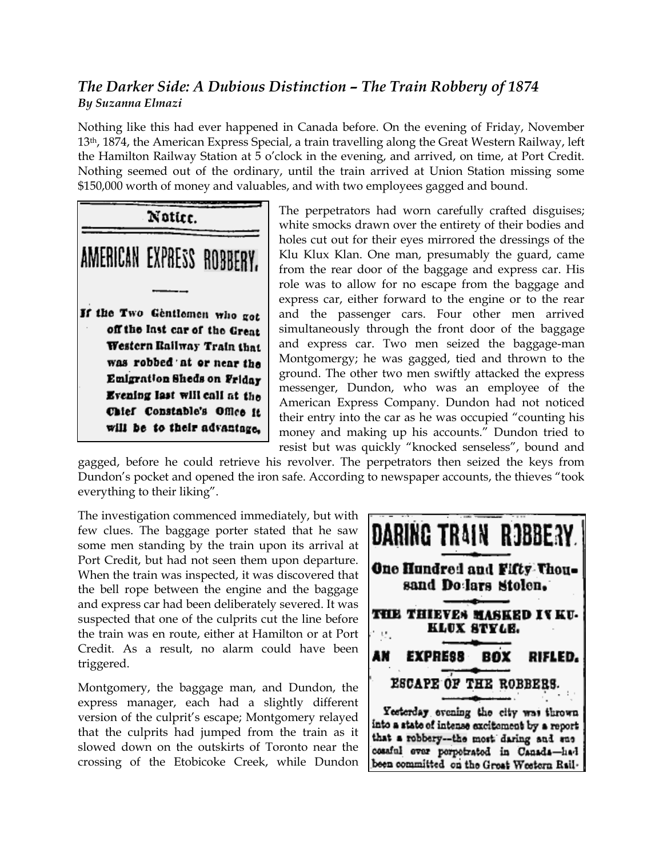## *The Darker Side: A Dubious Distinction – The Train Robbery of 1874 By Suzanna Elmazi*

Nothing like this had ever happened in Canada before. On the evening of Friday, November 13th, 1874, the American Express Special, a train travelling along the Great Western Railway, left the Hamilton Railway Station at 5 o'clock in the evening, and arrived, on time, at Port Credit. Nothing seemed out of the ordinary, until the train arrived at Union Station missing some \$150,000 worth of money and valuables, and with two employees gagged and bound.



The perpetrators had worn carefully crafted disguises; white smocks drawn over the entirety of their bodies and holes cut out for their eyes mirrored the dressings of the Klu Klux Klan. One man, presumably the guard, came from the rear door of the baggage and express car. His role was to allow for no escape from the baggage and express car, either forward to the engine or to the rear and the passenger cars. Four other men arrived simultaneously through the front door of the baggage and express car. Two men seized the baggage-man Montgomergy; he was gagged, tied and thrown to the ground. The other two men swiftly attacked the express messenger, Dundon, who was an employee of the American Express Company. Dundon had not noticed their entry into the car as he was occupied "counting his money and making up his accounts." Dundon tried to resist but was quickly "knocked senseless", bound and

gagged, before he could retrieve his revolver. The perpetrators then seized the keys from Dundon's pocket and opened the iron safe. According to newspaper accounts, the thieves "took everything to their liking".

The investigation commenced immediately, but with few clues. The baggage porter stated that he saw some men standing by the train upon its arrival at Port Credit, but had not seen them upon departure. When the train was inspected, it was discovered that the bell rope between the engine and the baggage and express car had been deliberately severed. It was suspected that one of the culprits cut the line before the train was en route, either at Hamilton or at Port Credit. As a result, no alarm could have been triggered.

Montgomery, the baggage man, and Dundon, the express manager, each had a slightly different version of the culprit's escape; Montgomery relayed that the culprits had jumped from the train as it slowed down on the outskirts of Toronto near the crossing of the Etobicoke Creek, while Dundon